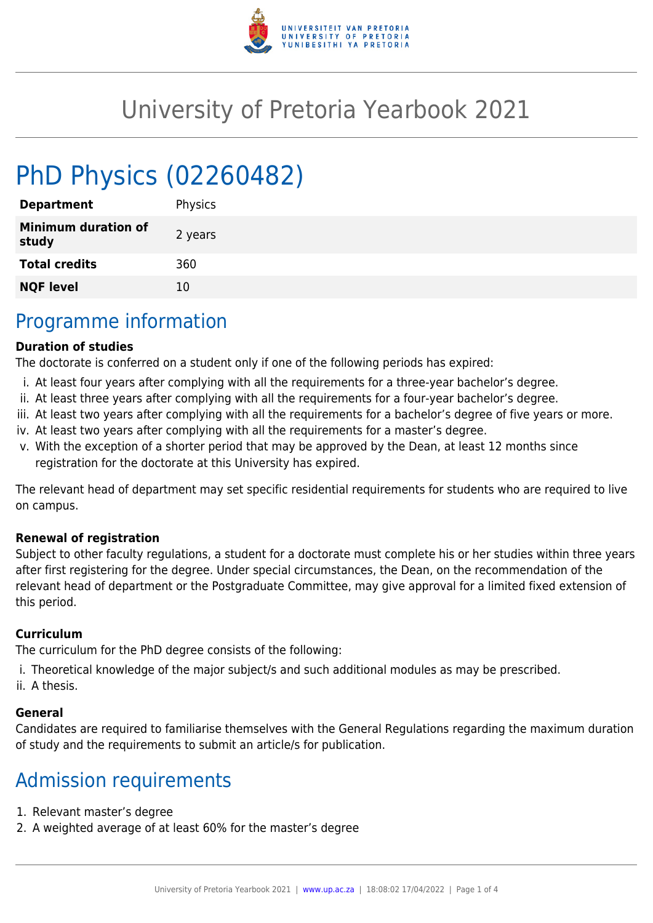

# University of Pretoria Yearbook 2021

# PhD Physics (02260482)

| <b>Department</b>                   | Physics |
|-------------------------------------|---------|
| <b>Minimum duration of</b><br>study | 2 years |
| <b>Total credits</b>                | 360     |
| <b>NQF level</b>                    | 10      |
|                                     |         |

### Programme information

#### **Duration of studies**

The doctorate is conferred on a student only if one of the following periods has expired:

- i. At least four years after complying with all the requirements for a three-year bachelor's degree.
- ii. At least three years after complying with all the requirements for a four-year bachelor's degree.
- iii. At least two years after complying with all the requirements for a bachelor's degree of five years or more.
- iv. At least two years after complying with all the requirements for a master's degree.
- v. With the exception of a shorter period that may be approved by the Dean, at least 12 months since registration for the doctorate at this University has expired.

The relevant head of department may set specific residential requirements for students who are required to live on campus.

#### **Renewal of registration**

Subject to other faculty regulations, a student for a doctorate must complete his or her studies within three years after first registering for the degree. Under special circumstances, the Dean, on the recommendation of the relevant head of department or the Postgraduate Committee, may give approval for a limited fixed extension of this period.

#### **Curriculum**

The curriculum for the PhD degree consists of the following:

- i. Theoretical knowledge of the major subject/s and such additional modules as may be prescribed.
- ii. A thesis.

#### **General**

Candidates are required to familiarise themselves with the General Regulations regarding the maximum duration of study and the requirements to submit an article/s for publication.

## Admission requirements

- 1. Relevant master's degree
- 2. A weighted average of at least 60% for the master's degree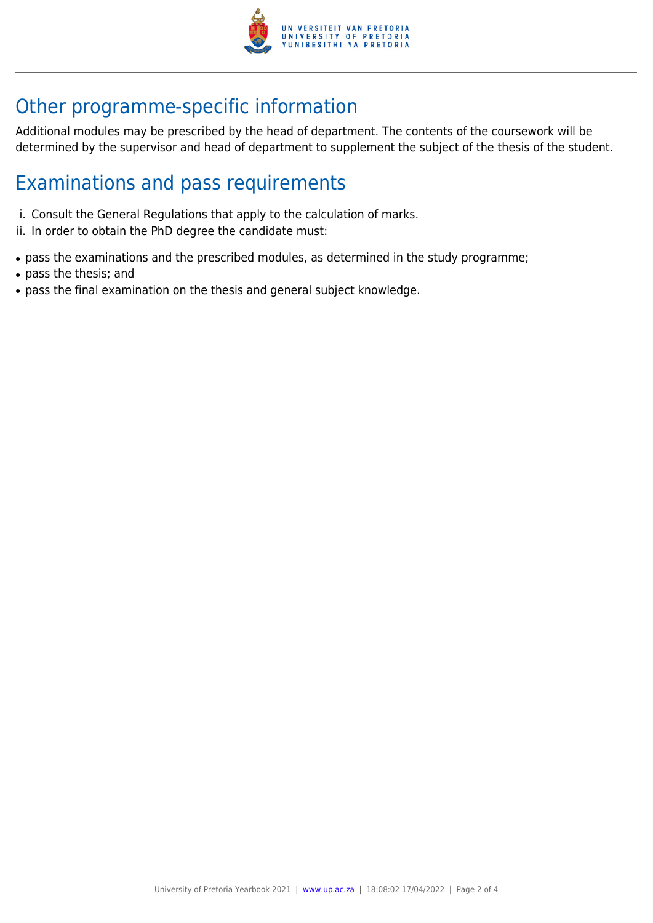

# Other programme-specific information

Additional modules may be prescribed by the head of department. The contents of the coursework will be determined by the supervisor and head of department to supplement the subject of the thesis of the student.

## Examinations and pass requirements

- i. Consult the General Regulations that apply to the calculation of marks.
- ii. In order to obtain the PhD degree the candidate must:
- pass the examinations and the prescribed modules, as determined in the study programme;
- pass the thesis; and
- pass the final examination on the thesis and general subject knowledge.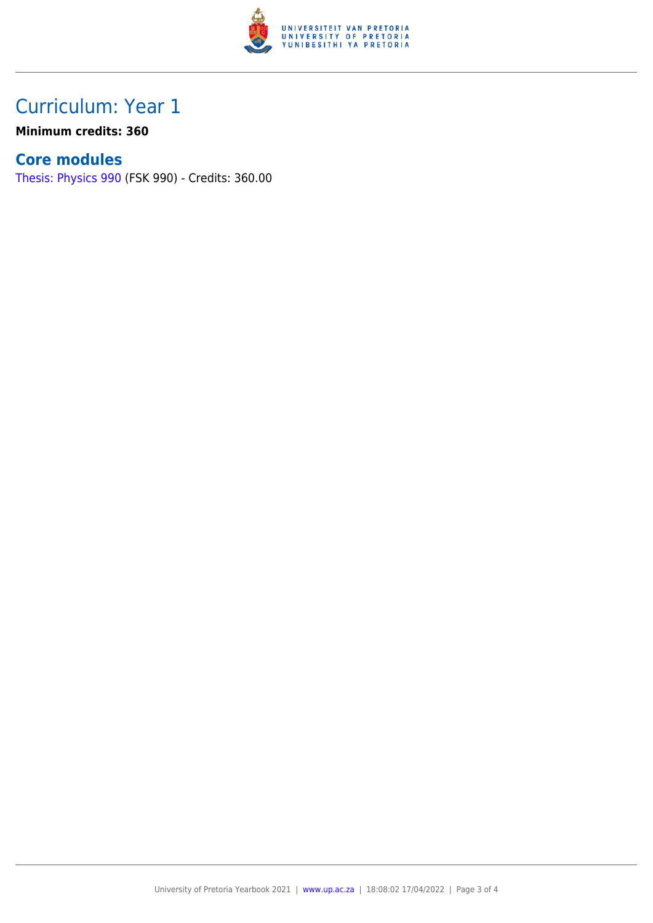

## Curriculum: Year 1

**Minimum credits: 360**

#### **Core modules**

[Thesis: Physics 990](https://www.up.ac.za/faculty-of-education/yearbooks/2021/modules/view/FSK 990) (FSK 990) - Credits: 360.00